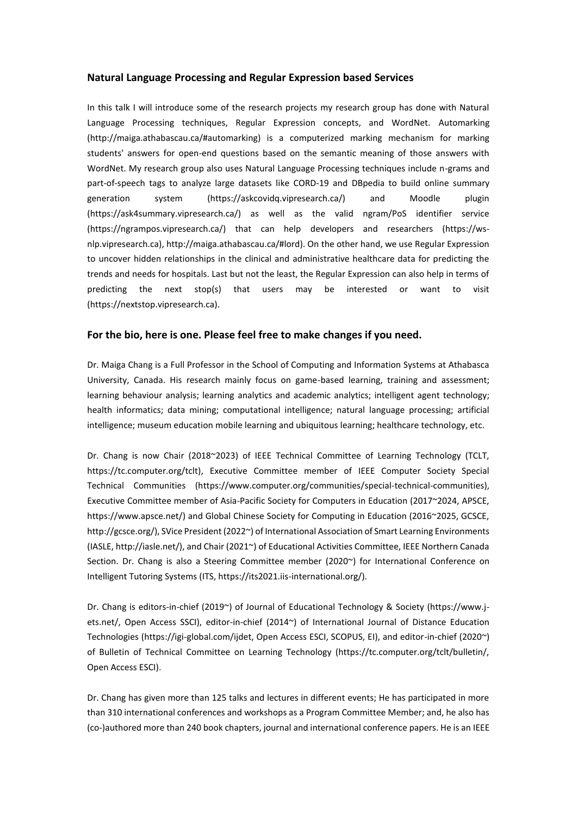## **Natural Language Processing and Regular Expression based Services**

In this talk I will introduce some of the research projects my research group has done with Natural Language Processing techniques, Regular Expression concepts, and WordNet. Automarking (http://maiga.athabascau.ca/#automarking) is a computerized marking mechanism for marking students' answers for open-end questions based on the semantic meaning of those answers with WordNet. My research group also uses Natural Language Processing techniques include n-grams and part-of-speech tags to analyze large datasets like CORD-19 and DBpedia to build online summary generation system (https://askcovidq.vipresearch.ca/) and Moodle plugin (https://ask4summary.vipresearch.ca/) as well as the valid ngram/PoS identifier service (https://ngrampos.vipresearch.ca/) that can help developers and researchers (https://wsnlp.vipresearch.ca), http://maiga.athabascau.ca/#lord). On the other hand, we use Regular Expression to uncover hidden relationships in the clinical and administrative healthcare data for predicting the trends and needs for hospitals. Last but not the least, the Regular Expression can also help in terms of predicting the next stop(s) that users may be interested or want to visit (https://nextstop.vipresearch.ca).

## **For the bio, here is one. Please feel free to make changes if you need.**

Dr. Maiga Chang is a Full Professor in the School of Computing and Information Systems at Athabasca University, Canada. His research mainly focus on game-based learning, training and assessment; learning behaviour analysis; learning analytics and academic analytics; intelligent agent technology; health informatics; data mining; computational intelligence; natural language processing; artificial intelligence; museum education mobile learning and ubiquitous learning; healthcare technology, etc.

Dr. Chang is now Chair (2018~2023) of IEEE Technical Committee of Learning Technology (TCLT, https://tc.computer.org/tclt), Executive Committee member of IEEE Computer Society Special Technical Communities (https://www.computer.org/communities/special-technical-communities), Executive Committee member of Asia-Pacific Society for Computers in Education (2017~2024, APSCE, https://www.apsce.net/) and Global Chinese Society for Computing in Education (2016~2025, GCSCE, http://gcsce.org/), SVice President (2022~) of International Association of Smart Learning Environments (IASLE, http://iasle.net/), and Chair (2021~) of Educational Activities Committee, IEEE Northern Canada Section. Dr. Chang is also a Steering Committee member (2020~) for International Conference on Intelligent Tutoring Systems (ITS, https://its2021.iis-international.org/).

Dr. Chang is editors-in-chief (2019~) of Journal of Educational Technology & Society (https://www.jets.net/, Open Access SSCI), editor-in-chief (2014~) of International Journal of Distance Education Technologies (https://igi-global.com/ijdet, Open Access ESCI, SCOPUS, EI), and editor-in-chief (2020~) of Bulletin of Technical Committee on Learning Technology (https://tc.computer.org/tclt/bulletin/, Open Access ESCI).

Dr. Chang has given more than 125 talks and lectures in different events; He has participated in more than 310 international conferences and workshops as a Program Committee Member; and, he also has (co-)authored more than 240 book chapters, journal and international conference papers. He is an IEEE